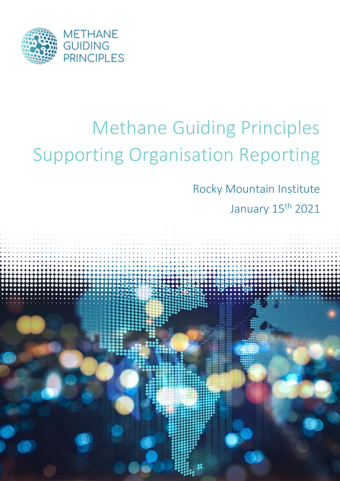

# Methane Guiding Principles Supporting Organisation Reporting

Rocky Mountain Institute

January 15<sup>th</sup> 2021

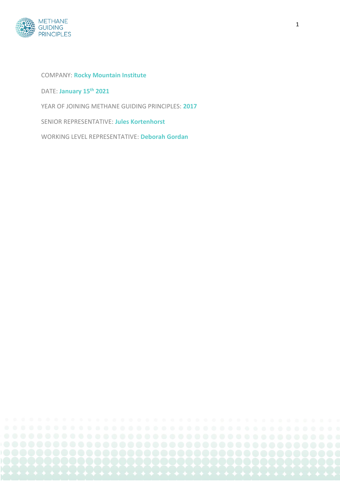

#### COMPANY: **Rocky Mountain Institute**

DATE: **January 15th 2021**

YEAR OF JOINING METHANE GUIDING PRINCIPLES: **2017**

SENIOR REPRESENTATIVE: **Jules Kortenhorst**

WORKING LEVEL REPRESENTATIVE: **Deborah Gordan**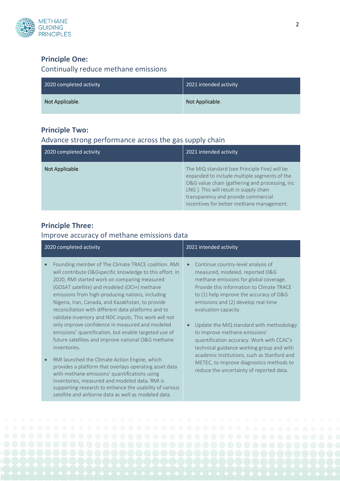

#### **Principle One:**

### Continually reduce methane emissions

| 2020 completed activity | 2021 intended activity |
|-------------------------|------------------------|
| Not Applicable.         | Not Applicable.        |

### **Principle Two:**

#### Advance strong performance across the gas supply chain

| 2020 completed activity | 2021 intended activity                                                                                                                                                                                                                                                        |
|-------------------------|-------------------------------------------------------------------------------------------------------------------------------------------------------------------------------------------------------------------------------------------------------------------------------|
| Not Applicable.         | The MiQ standard (see Principle Five) will be<br>expanded to include multiple segments of the<br>O&G value chain (gathering and processing, inc<br>LNG). This will result in supply chain<br>transparency and provide commercial<br>incentives for better methane management. |

### **Principle Three:**

### Improve accuracy of methane emissions data

|           | 2020 completed activity                                                                                                                                                                                                                                                                                                                                                                                                                                                                                                                                                                                                                                                                                                                                                                                                                                                                                                                                     | 2021 intended activity                                                                                                                                                                                                                                                                                                                                                                                                                                                                                                                                                               |
|-----------|-------------------------------------------------------------------------------------------------------------------------------------------------------------------------------------------------------------------------------------------------------------------------------------------------------------------------------------------------------------------------------------------------------------------------------------------------------------------------------------------------------------------------------------------------------------------------------------------------------------------------------------------------------------------------------------------------------------------------------------------------------------------------------------------------------------------------------------------------------------------------------------------------------------------------------------------------------------|--------------------------------------------------------------------------------------------------------------------------------------------------------------------------------------------------------------------------------------------------------------------------------------------------------------------------------------------------------------------------------------------------------------------------------------------------------------------------------------------------------------------------------------------------------------------------------------|
| $\bullet$ | Founding member of The Climate TRACE coalition. RMI<br>will contribute O&Gspecific knowledge to this effort. In<br>2020, RMI started work on comparing measured<br>(GOSAT satellite) and modeled (OCI+) methane<br>emissions from high-producing nations, including<br>Nigeria, Iran, Canada, and Kazakhstan, to provide<br>reconciliation with different data platforms and to<br>validate inventory and NDC inputs. This work will not<br>only improve confidence in measured and modeled<br>emissions' quantification, but enable targeted use of<br>future satellites and improve national O&G methane<br>inventories.<br>RMI launched the Climate Action Engine, which<br>provides a platform that overlays operating asset data<br>with methane emissions' quantifications using<br>inventories, measured and modeled data. RMI is<br>supporting research to enhance the usability of various<br>satellite and airborne data as well as modeled data. | Continue country-level analysis of<br>measured, modeled, reported O&G<br>methane emissions for global coverage.<br>Provide this information to Climate TRACE<br>to (1) help improve the accuracy of O&G<br>emissions and (2) develop real-time<br>evaluation capacity.<br>Update the MiQ standard with methodology<br>to improve methane emissions'<br>quantification accuracy. Work with CCAC's<br>technical guidance working group and with<br>academic institutions, such as Stanford and<br>METEC, to improve diagnostics methods to<br>reduce the uncertainty of reported data. |

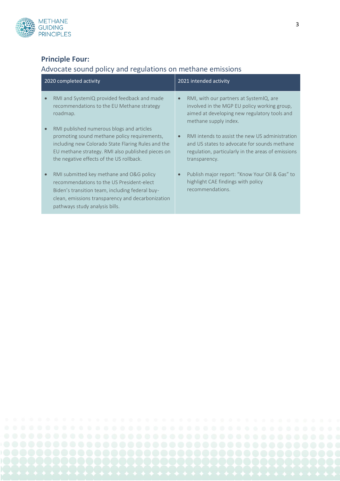

## **Principle Four:**

## Advocate sound policy and regulations on methane emissions

|           | 2020 completed activity                                                                                                                                                                                                                          | 2021 intended activity                                                                                                                                                 |
|-----------|--------------------------------------------------------------------------------------------------------------------------------------------------------------------------------------------------------------------------------------------------|------------------------------------------------------------------------------------------------------------------------------------------------------------------------|
|           | RMI and SystemIQ provided feedback and made<br>recommendations to the EU Methane strategy<br>roadmap.                                                                                                                                            | RMI, with our partners at SystemIQ, are<br>involved in the MGP EU policy working group,<br>aimed at developing new regulatory tools and<br>methane supply index.       |
|           | RMI published numerous blogs and articles<br>promoting sound methane policy requirements,<br>including new Colorado State Flaring Rules and the<br>EU methane strategy. RMI also published pieces on<br>the negative effects of the US rollback. | RMI intends to assist the new US administration<br>and US states to advocate for sounds methane<br>regulation, particularly in the areas of emissions<br>transparency. |
| $\bullet$ | RMI submitted key methane and O&G policy<br>recommendations to the US President-elect<br>Biden's transition team, including federal buy-<br>clean, emissions transparency and decarbonization<br>pathways study analysis bills.                  | Publish major report: "Know Your Oil & Gas" to<br>highlight CAE findings with policy<br>recommendations.                                                               |